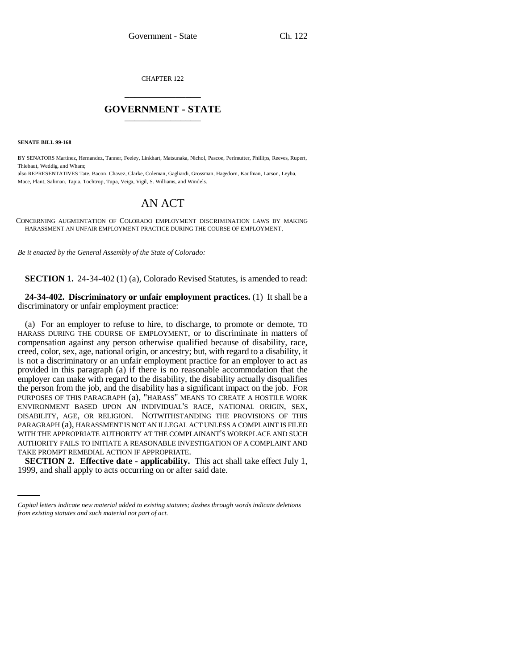CHAPTER 122 \_\_\_\_\_\_\_\_\_\_\_\_\_\_\_

## **GOVERNMENT - STATE** \_\_\_\_\_\_\_\_\_\_\_\_\_\_\_

**SENATE BILL 99-168** 

BY SENATORS Martinez, Hernandez, Tanner, Feeley, Linkhart, Matsunaka, Nichol, Pascoe, Perlmutter, Phillips, Reeves, Rupert, Thiebaut, Weddig, and Wham;

also REPRESENTATIVES Tate, Bacon, Chavez, Clarke, Coleman, Gagliardi, Grossman, Hagedorn, Kaufman, Larson, Leyba, Mace, Plant, Saliman, Tapia, Tochtrop, Tupa, Veiga, Vigil, S. Williams, and Windels.

## AN ACT

CONCERNING AUGMENTATION OF COLORADO EMPLOYMENT DISCRIMINATION LAWS BY MAKING HARASSMENT AN UNFAIR EMPLOYMENT PRACTICE DURING THE COURSE OF EMPLOYMENT.

*Be it enacted by the General Assembly of the State of Colorado:*

**SECTION 1.** 24-34-402 (1) (a), Colorado Revised Statutes, is amended to read:

**24-34-402. Discriminatory or unfair employment practices.** (1) It shall be a discriminatory or unfair employment practice:

TAKE PROMPT REMEDIAL ACTION IF APPROPRIATE. (a) For an employer to refuse to hire, to discharge, to promote or demote, TO HARASS DURING THE COURSE OF EMPLOYMENT, or to discriminate in matters of compensation against any person otherwise qualified because of disability, race, creed, color, sex, age, national origin, or ancestry; but, with regard to a disability, it is not a discriminatory or an unfair employment practice for an employer to act as provided in this paragraph (a) if there is no reasonable accommodation that the employer can make with regard to the disability, the disability actually disqualifies the person from the job, and the disability has a significant impact on the job. FOR PURPOSES OF THIS PARAGRAPH (a), "HARASS" MEANS TO CREATE A HOSTILE WORK ENVIRONMENT BASED UPON AN INDIVIDUAL'S RACE, NATIONAL ORIGIN, SEX, DISABILITY, AGE, OR RELIGION. NOTWITHSTANDING THE PROVISIONS OF THIS PARAGRAPH (a), HARASSMENT IS NOT AN ILLEGAL ACT UNLESS A COMPLAINT IS FILED WITH THE APPROPRIATE AUTHORITY AT THE COMPLAINANT'S WORKPLACE AND SUCH AUTHORITY FAILS TO INITIATE A REASONABLE INVESTIGATION OF A COMPLAINT AND

**SECTION 2. Effective date - applicability.** This act shall take effect July 1, 1999, and shall apply to acts occurring on or after said date.

*Capital letters indicate new material added to existing statutes; dashes through words indicate deletions from existing statutes and such material not part of act.*